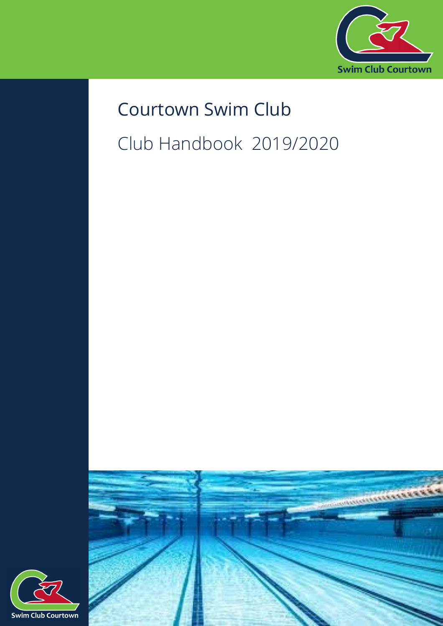

# Courtown Swim Club Club Handbook 2019/2020



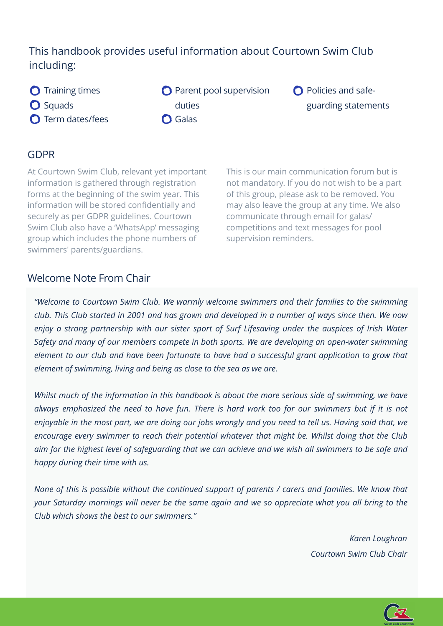# This handbook provides useful information about Courtown Swim Club including:

- **O** Training times **O** Squads **O** Term dates/fees
- **O** Parent pool supervision duties **O** Galas
- **O** Policies and safeguarding statements

#### GDPR

At Courtown Swim Club, relevant yet important information is gathered through registration forms at the beginning of the swim year. This information will be stored confidentially and securely as per GDPR guidelines. Courtown Swim Club also have a 'WhatsApp' messaging group which includes the phone numbers of swimmers' parents/guardians.

This is our main communication forum but is not mandatory. If you do not wish to be a part of this group, please ask to be removed. You may also leave the group at any time. We also communicate through email for galas/ competitions and text messages for pool supervision reminders.

### Welcome Note From Chair

*"Welcome to Courtown Swim Club. We warmly welcome swimmers and their families to the swimming club. This Club started in 2001 and has grown and developed in a number of ways since then. We now enjoy a strong partnership with our sister sport of Surf Lifesaving under the auspices of Irish Water Safety and many of our members compete in both sports. We are developing an open-water swimming element to our club and have been fortunate to have had a successful grant application to grow that element of swimming, living and being as close to the sea as we are.*

*Whilst much of the information in this handbook is about the more serious side of swimming, we have always emphasized the need to have fun. There is hard work too for our swimmers but if it is not enjoyable in the most part, we are doing our jobs wrongly and you need to tell us. Having said that, we encourage every swimmer to reach their potential whatever that might be. Whilst doing that the Club aim for the highest level of safeguarding that we can achieve and we wish all swimmers to be safe and happy during their time with us.*

*None of this is possible without the continued support of parents / carers and families. We know that your Saturday mornings will never be the same again and we so appreciate what you all bring to the Club which shows the best to our swimmers."* 

> *Karen Loughran Courtown Swim Club Chair*

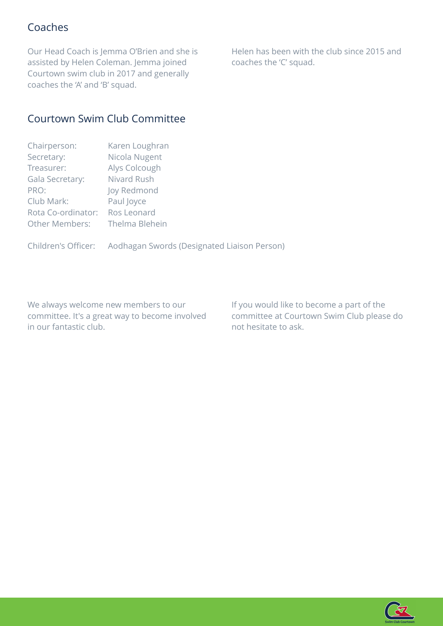## Coaches

Our Head Coach is Jemma O'Brien and she is assisted by Helen Coleman. Jemma joined Courtown swim club in 2017 and generally coaches the 'A' and 'B' squad.

Helen has been with the club since 2015 and coaches the 'C' squad.

## Courtown Swim Club Committee

| Chairperson:          | Karen Loughran |
|-----------------------|----------------|
| Secretary:            | Nicola Nugent  |
| Treasurer:            | Alys Colcough  |
| Gala Secretary:       | Nivard Rush    |
| PRO:                  | Joy Redmond    |
| Club Mark:            | Paul Joyce     |
| Rota Co-ordinator:    | Ros Leonard    |
| <b>Other Members:</b> | Thelma Blehein |
|                       |                |

Children's Officer: Aodhagan Swords (Designated Liaison Person)

We always welcome new members to our committee. It's a great way to become involved in our fantastic club.

If you would like to become a part of the committee at Courtown Swim Club please do not hesitate to ask.

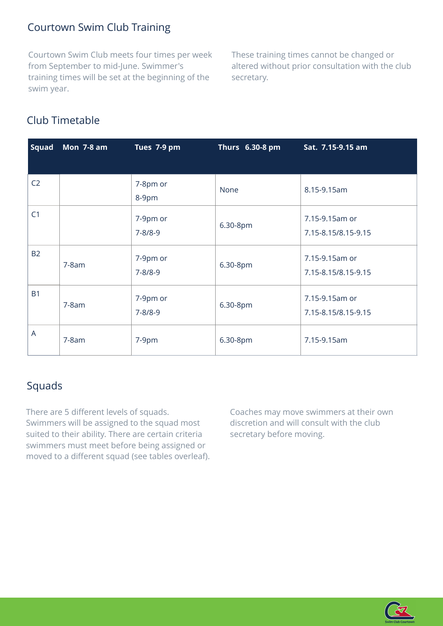## Courtown Swim Club Training

Courtown Swim Club meets four times per week from September to mid-June. Swimmer's training times will be set at the beginning of the swim year.

These training times cannot be changed or altered without prior consultation with the club secretary.

# Club Timetable

| <b>Squad</b>   | <b>Mon 7-8 am</b> | Tues 7-9 pm               | Thurs 6.30-8 pm | Sat. 7.15-9.15 am                     |
|----------------|-------------------|---------------------------|-----------------|---------------------------------------|
| C <sub>2</sub> |                   | 7-8pm or<br>8-9pm         | None            | 8.15-9.15am                           |
| C <sub>1</sub> |                   | 7-9pm or<br>$7 - 8/8 - 9$ | 6.30-8pm        | 7.15-9.15am or<br>7.15-8.15/8.15-9.15 |
| <b>B2</b>      | $7-8am$           | 7-9pm or<br>$7 - 8/8 - 9$ | 6.30-8pm        | 7.15-9.15am or<br>7.15-8.15/8.15-9.15 |
| <b>B1</b>      | $7-8am$           | 7-9pm or<br>$7 - 8/8 - 9$ | 6.30-8pm        | 7.15-9.15am or<br>7.15-8.15/8.15-9.15 |
| $\overline{A}$ | $7-8am$           | 7-9pm                     | 6.30-8pm        | 7.15-9.15am                           |

## Squads

There are 5 different levels of squads. Swimmers will be assigned to the squad most suited to their ability. There are certain criteria swimmers must meet before being assigned or moved to a different squad (see tables overleaf). Coaches may move swimmers at their own discretion and will consult with the club secretary before moving.

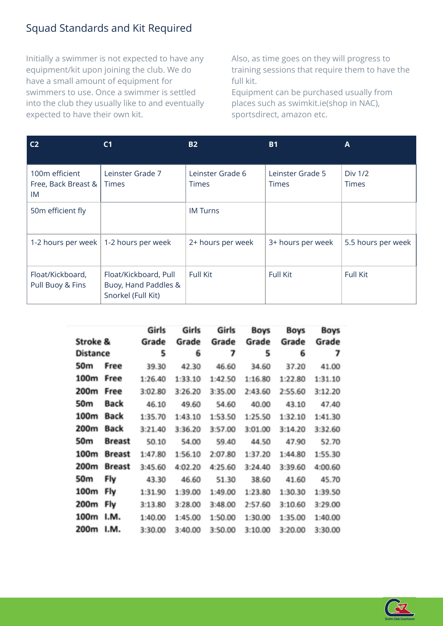# Squad Standards and Kit Required

Initially a swimmer is not expected to have any equipment/kit upon joining the club. We do have a small amount of equipment for swimmers to use. Once a swimmer is settled into the club they usually like to and eventually expected to have their own kit.

Also, as time goes on they will progress to training sessions that require them to have the full kit.

Equipment can be purchased usually from places such as swimkit.ie(shop in NAC), sportsdirect, amazon etc.

| C <sub>2</sub>                              | C <sub>1</sub>                                                      | <b>B2</b>                        | <b>B1</b>                        | A                       |
|---------------------------------------------|---------------------------------------------------------------------|----------------------------------|----------------------------------|-------------------------|
| 100m efficient<br>Free, Back Breast &<br>IM | Leinster Grade 7<br><b>Times</b>                                    | Leinster Grade 6<br><b>Times</b> | Leinster Grade 5<br><b>Times</b> | Div 1/2<br><b>Times</b> |
| 50m efficient fly                           |                                                                     | <b>IM Turns</b>                  |                                  |                         |
|                                             | 1-2 hours per week   1-2 hours per week                             | 2+ hours per week                | 3+ hours per week                | 5.5 hours per week      |
| Float/Kickboard,<br>Pull Buoy & Fins        | Float/Kickboard, Pull<br>Buoy, Hand Paddles &<br>Snorkel (Full Kit) | Full Kit                         | Full Kit                         | Full Kit                |

|                 |               | Girls   | Girls   | Girls   | Boys    | Boys    | <b>Boys</b> |
|-----------------|---------------|---------|---------|---------|---------|---------|-------------|
| Stroke &        |               | Grade   | Grade   | Grade   | Grade   | Grade   | Grade       |
| <b>Distance</b> |               | 5       | 6       | 7       | 5       | 6       | 7           |
| 50m             | Free          | 39.30   | 42.30   | 46.60   | 34.60   | 37.20   | 41.00       |
| 100m            | Free          | 1:26.40 | 1:33.10 | 1:42.50 | 1:16.80 | 1:22.80 | 1:31.10     |
| 200m            | Free          | 3:02.80 | 3:26.20 | 3:35.00 | 2:43.60 | 2:55.60 | 3:12.20     |
| 50m             | <b>Back</b>   | 46.10   | 49.60   | 54.60   | 40.00   | 43.10   | 47.40       |
| 100m            | <b>Back</b>   | 1:35.70 | 1:43.10 | 1:53.50 | 1:25.50 | 1:32.10 | 1:41.30     |
| 200m            | <b>Back</b>   | 3:21.40 | 3:36.20 | 3:57.00 | 3:01.00 | 3:14.20 | 3:32.60     |
| 50m             | <b>Breast</b> | 50.10   | 54.00   | 59.40   | 44.50   | 47.90   | 52.70       |
| 100m            | <b>Breast</b> | 1:47.80 | 1:56.10 | 2:07.80 | 1:37.20 | 1:44.80 | 1:55.30     |
| 200m            | <b>Breast</b> | 3:45.60 | 4:02.20 | 4:25.60 | 3:24.40 | 3:39.60 | 4:00.60     |
| 50m             | Fly           | 43.30   | 46.60   | 51.30   | 38.60   | 41.60   | 45.70       |
| 100m            | Fly           | 1:31.90 | 1:39.00 | 1:49.00 | 1:23.80 | 1:30.30 | 1:39.50     |
| 200m            | Fly           | 3:13.80 | 3:28.00 | 3:48.00 | 2:57.60 | 3:10.60 | 3:29.00     |
| 100m            | I.M.          | 1:40.00 | 1:45.00 | 1:50.00 | 1:30.00 | 1:35.00 | 1:40.00     |
| 200m            | I.M.          | 3:30.00 | 3:40.00 | 3:50.00 | 3:10.00 | 3:20.00 | 3:30.00     |

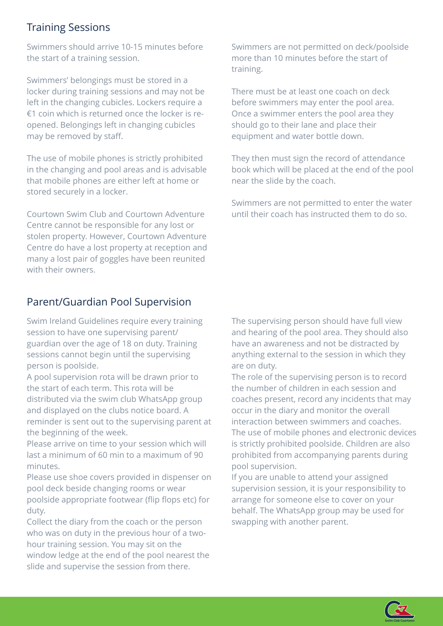## Training Sessions

Swimmers should arrive 10-15 minutes before the start of a training session.

Swimmers' belongings must be stored in a locker during training sessions and may not be left in the changing cubicles. Lockers require a €1 coin which is returned once the locker is reopened. Belongings left in changing cubicles may be removed by staff.

The use of mobile phones is strictly prohibited in the changing and pool areas and is advisable that mobile phones are either left at home or stored securely in a locker.

Courtown Swim Club and Courtown Adventure Centre cannot be responsible for any lost or stolen property. However, Courtown Adventure Centre do have a lost property at reception and many a lost pair of goggles have been reunited with their owners.

## Parent/Guardian Pool Supervision

Swim Ireland Guidelines require every training session to have one supervising parent/ guardian over the age of 18 on duty. Training sessions cannot begin until the supervising person is poolside.

A pool supervision rota will be drawn prior to the start of each term. This rota will be distributed via the swim club WhatsApp group and displayed on the clubs notice board. A reminder is sent out to the supervising parent at the beginning of the week.

Please arrive on time to your session which will last a minimum of 60 min to a maximum of 90 minutes.

Please use shoe covers provided in dispenser on pool deck beside changing rooms or wear poolside appropriate footwear (flip flops etc) for duty.

Collect the diary from the coach or the person who was on duty in the previous hour of a twohour training session. You may sit on the window ledge at the end of the pool nearest the slide and supervise the session from there.

Swimmers are not permitted on deck/poolside more than 10 minutes before the start of training.

There must be at least one coach on deck before swimmers may enter the pool area. Once a swimmer enters the pool area they should go to their lane and place their equipment and water bottle down.

They then must sign the record of attendance book which will be placed at the end of the pool near the slide by the coach.

Swimmers are not permitted to enter the water until their coach has instructed them to do so.

The supervising person should have full view and hearing of the pool area. They should also have an awareness and not be distracted by anything external to the session in which they are on duty.

The role of the supervising person is to record the number of children in each session and coaches present, record any incidents that may occur in the diary and monitor the overall interaction between swimmers and coaches. The use of mobile phones and electronic devices is strictly prohibited poolside. Children are also prohibited from accompanying parents during pool supervision.

If you are unable to attend your assigned supervision session, it is your responsibility to arrange for someone else to cover on your behalf. The WhatsApp group may be used for swapping with another parent.

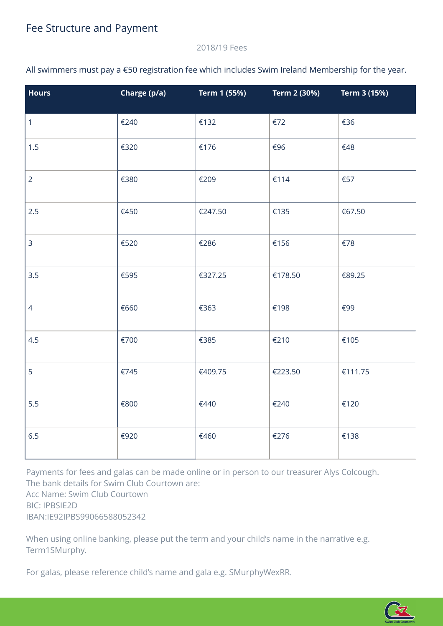#### 2018/19 Fees

All swimmers must pay a €50 registration fee which includes Swim Ireland Membership for the year.

| <b>Hours</b>   | Charge (p/a) | Term 1 (55%) | Term 2 (30%) | Term 3 (15%) |
|----------------|--------------|--------------|--------------|--------------|
| $\mathbf{1}$   | €240         | €132         | €72          | €36          |
| 1.5            | €320         | €176         | €96          | €48          |
| $\overline{2}$ | €380         | €209         | €114         | €57          |
| 2.5            | €450         | €247.50      | €135         | €67.50       |
| 3              | €520         | €286         | €156         | €78          |
| 3.5            | €595         | €327.25      | €178.50      | €89.25       |
| $\overline{4}$ | €660         | €363         | €198         | €99          |
| 4.5            | €700         | €385         | €210         | €105         |
| 5              | €745         | €409.75      | €223.50      | €111.75      |
| 5.5            | €800         | €440         | €240         | €120         |
| 6.5            | €920         | €460         | €276         | €138         |

Payments for fees and galas can be made online or in person to our treasurer Alys Colcough. The bank details for Swim Club Courtown are: Acc Name: Swim Club Courtown BIC: IPBSIE2D IBAN:IE92IPBS99066588052342

When using online banking, please put the term and your child's name in the narrative e.g. Term1SMurphy.

For galas, please reference child's name and gala e.g. SMurphyWexRR.

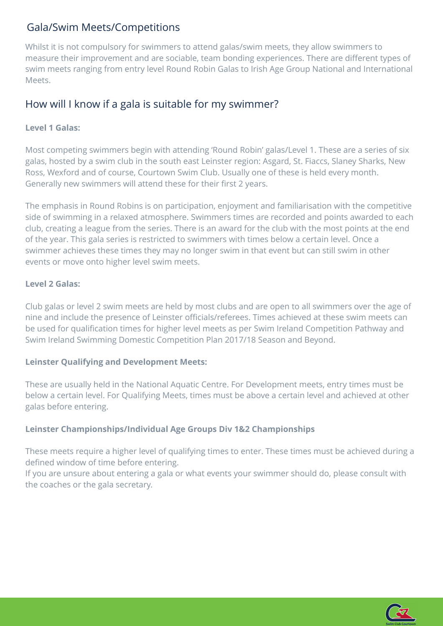## Gala/Swim Meets/Competitions

Whilst it is not compulsory for swimmers to attend galas/swim meets, they allow swimmers to measure their improvement and are sociable, team bonding experiences. There are different types of swim meets ranging from entry level Round Robin Galas to Irish Age Group National and International Meets.

## How will I know if a gala is suitable for my swimmer?

#### **Level 1 Galas:**

Most competing swimmers begin with attending 'Round Robin' galas/Level 1. These are a series of six galas, hosted by a swim club in the south east Leinster region: Asgard, St. Fiaccs, Slaney Sharks, New Ross, Wexford and of course, Courtown Swim Club. Usually one of these is held every month. Generally new swimmers will attend these for their first 2 years.

The emphasis in Round Robins is on participation, enjoyment and familiarisation with the competitive side of swimming in a relaxed atmosphere. Swimmers times are recorded and points awarded to each club, creating a league from the series. There is an award for the club with the most points at the end of the year. This gala series is restricted to swimmers with times below a certain level. Once a swimmer achieves these times they may no longer swim in that event but can still swim in other events or move onto higher level swim meets.

#### **Level 2 Galas:**

Club galas or level 2 swim meets are held by most clubs and are open to all swimmers over the age of nine and include the presence of Leinster officials/referees. Times achieved at these swim meets can be used for qualification times for higher level meets as per Swim Ireland Competition Pathway and Swim Ireland Swimming Domestic Competition Plan 2017/18 Season and Beyond.

#### **Leinster Qualifying and Development Meets:**

These are usually held in the National Aquatic Centre. For Development meets, entry times must be below a certain level. For Qualifying Meets, times must be above a certain level and achieved at other galas before entering.

#### **Leinster Championships/Individual Age Groups Div 1&2 Championships**

These meets require a higher level of qualifying times to enter. These times must be achieved during a defined window of time before entering.

If you are unsure about entering a gala or what events your swimmer should do, please consult with the coaches or the gala secretary.

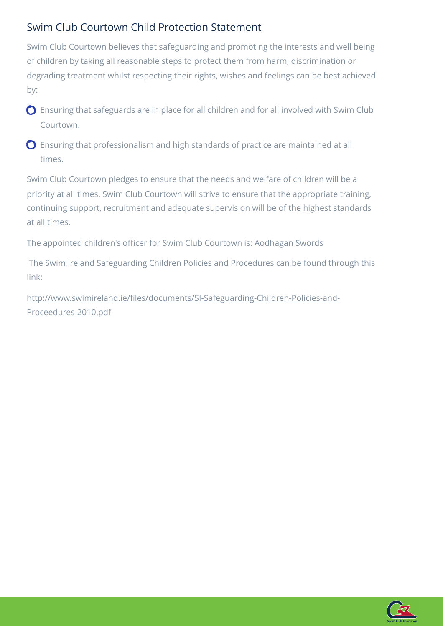## Swim Club Courtown Child Protection Statement

Swim Club Courtown believes that safeguarding and promoting the interests and well being of children by taking all reasonable steps to protect them from harm, discrimination or degrading treatment whilst respecting their rights, wishes and feelings can be best achieved by:

- Ensuring that safeguards are in place for all children and for all involved with Swim Club Courtown.
- Ensuring that professionalism and high standards of practice are maintained at all times.

Swim Club Courtown pledges to ensure that the needs and welfare of children will be a priority at all times. Swim Club Courtown will strive to ensure that the appropriate training, continuing support, recruitment and adequate supervision will be of the highest standards at all times.

The appointed children's officer for Swim Club Courtown is: Aodhagan Swords

 The Swim Ireland Safeguarding Children Policies and Procedures can be found through this link:

http://www.swimireland.ie/fi[les/documents/SI-Safeguarding-Children-Policies-and-](http://www.swimireland.ie/files/documents/SI-Safeguarding-Children-Policies-and-Proceedures-2010.pdf)[Proceedures-2010.pdf](http://www.swimireland.ie/files/documents/SI-Safeguarding-Children-Policies-and-Proceedures-2010.pdf)

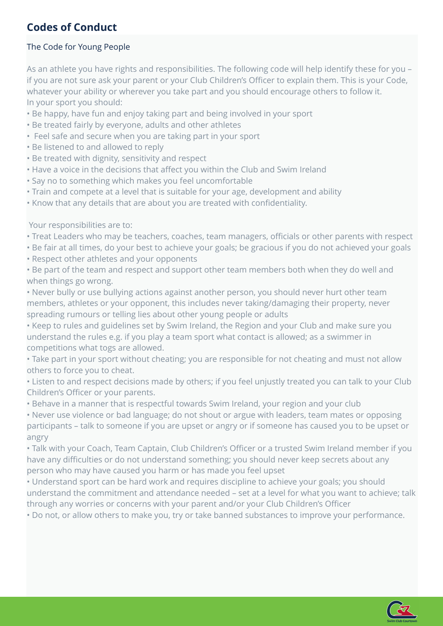#### The Code for Young People

As an athlete you have rights and responsibilities. The following code will help identify these for you – if you are not sure ask your parent or your Club Children's Officer to explain them. This is your Code, whatever your ability or wherever you take part and you should encourage others to follow it. In your sport you should:

- Be happy, have fun and enjoy taking part and being involved in your sport
- Be treated fairly by everyone, adults and other athletes
- Feel safe and secure when you are taking part in your sport
- Be listened to and allowed to reply
- Be treated with dignity, sensitivity and respect
- Have a voice in the decisions that affect you within the Club and Swim Ireland
- Say no to something which makes you feel uncomfortable
- Train and compete at a level that is suitable for your age, development and ability
- Know that any details that are about you are treated with confidentiality.

Your responsibilities are to:

- Treat Leaders who may be teachers, coaches, team managers, officials or other parents with respect
- Be fair at all times, do your best to achieve your goals; be gracious if you do not achieved your goals
- Respect other athletes and your opponents

• Be part of the team and respect and support other team members both when they do well and when things go wrong.

• Never bully or use bullying actions against another person, you should never hurt other team members, athletes or your opponent, this includes never taking/damaging their property, never spreading rumours or telling lies about other young people or adults

• Keep to rules and guidelines set by Swim Ireland, the Region and your Club and make sure you understand the rules e.g. if you play a team sport what contact is allowed; as a swimmer in competitions what togs are allowed.

• Take part in your sport without cheating; you are responsible for not cheating and must not allow others to force you to cheat.

• Listen to and respect decisions made by others; if you feel unjustly treated you can talk to your Club Children's Officer or your parents.

• Behave in a manner that is respectful towards Swim Ireland, your region and your club

• Never use violence or bad language; do not shout or argue with leaders, team mates or opposing participants – talk to someone if you are upset or angry or if someone has caused you to be upset or angry

• Talk with your Coach, Team Captain, Club Children's Officer or a trusted Swim Ireland member if you have any difficulties or do not understand something; you should never keep secrets about any person who may have caused you harm or has made you feel upset

• Understand sport can be hard work and requires discipline to achieve your goals; you should understand the commitment and attendance needed – set at a level for what you want to achieve; talk through any worries or concerns with your parent and/or your Club Children's Officer

• Do not, or allow others to make you, try or take banned substances to improve your performance.

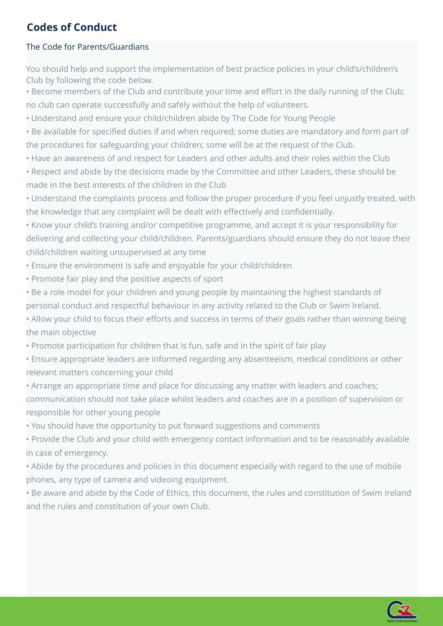#### The Code for Parents/Guardians

You should help and support the implementation of best practice policies in your child's/children's Club by following the code below.

• Become members of the Club and contribute your time and effort in the daily running of the Club; no club can operate successfully and safely without the help of volunteers.

• Understand and ensure your child/children abide by The Code for Young People

• Be available for specified duties if and when required; some duties are mandatory and form part of the procedures for safeguarding your children; some will be at the request of the Club.

• Have an awareness of and respect for Leaders and other adults and their roles within the Club

• Respect and abide by the decisions made by the Committee and other Leaders, these should be made in the best interests of the children in the Club

• Understand the complaints process and follow the proper procedure if you feel unjustly treated, with the knowledge that any complaint will be dealt with effectively and confidentially.

• Know your child's training and/or competitive programme, and accept it is your responsibility for delivering and collecting your child/children. Parents/guardians should ensure they do not leave their child/children waiting unsupervised at any time

- Ensure the environment is safe and enjoyable for your child/children
- Promote fair play and the positive aspects of sport

• Be a role model for your children and young people by maintaining the highest standards of personal conduct and respectful behaviour in any activity related to the Club or Swim Ireland.

• Allow your child to focus their efforts and success in terms of their goals rather than winning being the main objective

• Promote participation for children that is fun, safe and in the spirit of fair play

• Ensure appropriate leaders are informed regarding any absenteeism, medical conditions or other relevant matters concerning your child

• Arrange an appropriate time and place for discussing any matter with leaders and coaches; communication should not take place whilst leaders and coaches are in a position of supervision or responsible for other young people

• You should have the opportunity to put forward suggestions and comments

• Provide the Club and your child with emergency contact information and to be reasonably available in case of emergency.

• Abide by the procedures and policies in this document especially with regard to the use of mobile phones, any type of camera and videoing equipment.

• Be aware and abide by the Code of Ethics, this document, the rules and constitution of Swim Ireland and the rules and constitution of your own Club.

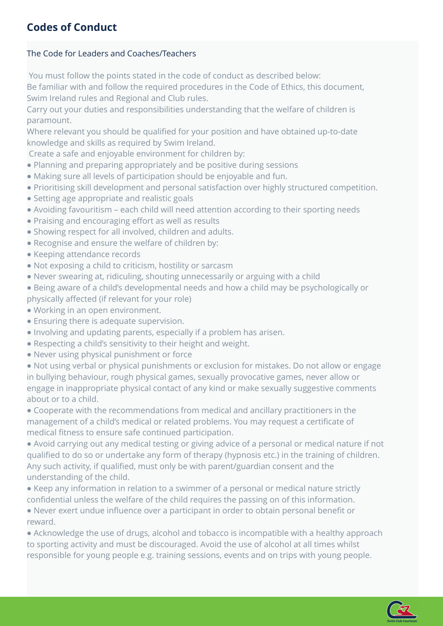#### The Code for Leaders and Coaches/Teachers

 You must follow the points stated in the code of conduct as described below: Be familiar with and follow the required procedures in the Code of Ethics, this document, Swim Ireland rules and Regional and Club rules.

Carry out your duties and responsibilities understanding that the welfare of children is paramount.

Where relevant you should be qualified for your position and have obtained up-to-date knowledge and skills as required by Swim Ireland.

Create a safe and enjoyable environment for children by:

- Planning and preparing appropriately and be positive during sessions
- Making sure all levels of participation should be enjoyable and fun.
- Prioritising skill development and personal satisfaction over highly structured competition.
- Setting age appropriate and realistic goals
- Avoiding favouritism each child will need attention according to their sporting needs
- Praising and encouraging effort as well as results
- Showing respect for all involved, children and adults.
- Recognise and ensure the welfare of children by:
- Keeping attendance records
- Not exposing a child to criticism, hostility or sarcasm
- Never swearing at, ridiculing, shouting unnecessarily or arguing with a child
- Being aware of a child's developmental needs and how a child may be psychologically or physically affected (if relevant for your role)
- 
- Working in an open environment.
- Ensuring there is adequate supervision.
- Involving and updating parents, especially if a problem has arisen.
- Respecting a child's sensitivity to their height and weight.
- Never using physical punishment or force

● Not using verbal or physical punishments or exclusion for mistakes. Do not allow or engage in bullying behaviour, rough physical games, sexually provocative games, never allow or engage in inappropriate physical contact of any kind or make sexually suggestive comments about or to a child.

● Cooperate with the recommendations from medical and ancillary practitioners in the management of a child's medical or related problems. You may request a certificate of medical fitness to ensure safe continued participation.

● Avoid carrying out any medical testing or giving advice of a personal or medical nature if not qualified to do so or undertake any form of therapy (hypnosis etc.) in the training of children. Any such activity, if qualified, must only be with parent/guardian consent and the understanding of the child.

● Keep any information in relation to a swimmer of a personal or medical nature strictly confidential unless the welfare of the child requires the passing on of this information.

● Never exert undue influence over a participant in order to obtain personal benefit or reward.

● Acknowledge the use of drugs, alcohol and tobacco is incompatible with a healthy approach to sporting activity and must be discouraged. Avoid the use of alcohol at all times whilst responsible for young people e.g. training sessions, events and on trips with young people.

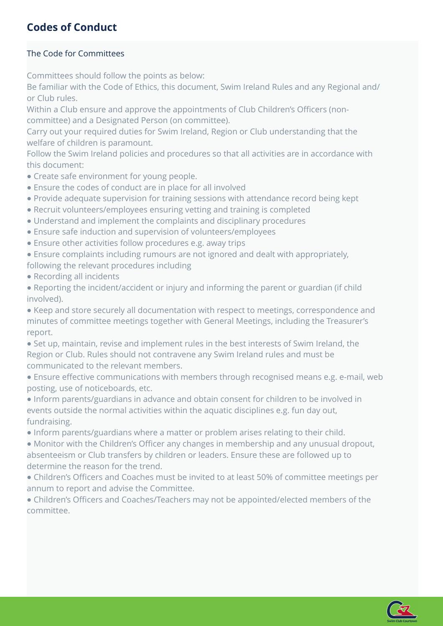#### The Code for Committees

Committees should follow the points as below:

Be familiar with the Code of Ethics, this document, Swim Ireland Rules and any Regional and/ or Club rules.

Within a Club ensure and approve the appointments of Club Children's Officers (noncommittee) and a Designated Person (on committee).

Carry out your required duties for Swim Ireland, Region or Club understanding that the welfare of children is paramount.

Follow the Swim Ireland policies and procedures so that all activities are in accordance with this document:

- Create safe environment for young people.
- Ensure the codes of conduct are in place for all involved
- Provide adequate supervision for training sessions with attendance record being kept
- Recruit volunteers/employees ensuring vetting and training is completed
- Understand and implement the complaints and disciplinary procedures
- Ensure safe induction and supervision of volunteers/employees
- Ensure other activities follow procedures e.g. away trips

● Ensure complaints including rumours are not ignored and dealt with appropriately, following the relevant procedures including

● Recording all incidents

● Reporting the incident/accident or injury and informing the parent or guardian (if child involved).

● Keep and store securely all documentation with respect to meetings, correspondence and minutes of committee meetings together with General Meetings, including the Treasurer's report.

● Set up, maintain, revise and implement rules in the best interests of Swim Ireland, the Region or Club. Rules should not contravene any Swim Ireland rules and must be communicated to the relevant members.

● Ensure effective communications with members through recognised means e.g. e-mail, web posting, use of noticeboards, etc.

● Inform parents/guardians in advance and obtain consent for children to be involved in events outside the normal activities within the aquatic disciplines e.g. fun day out, fundraising.

● Inform parents/guardians where a matter or problem arises relating to their child.

● Monitor with the Children's Officer any changes in membership and any unusual dropout, absenteeism or Club transfers by children or leaders. Ensure these are followed up to determine the reason for the trend.

● Children's Officers and Coaches must be invited to at least 50% of committee meetings per annum to report and advise the Committee.

● Children's Officers and Coaches/Teachers may not be appointed/elected members of the committee.